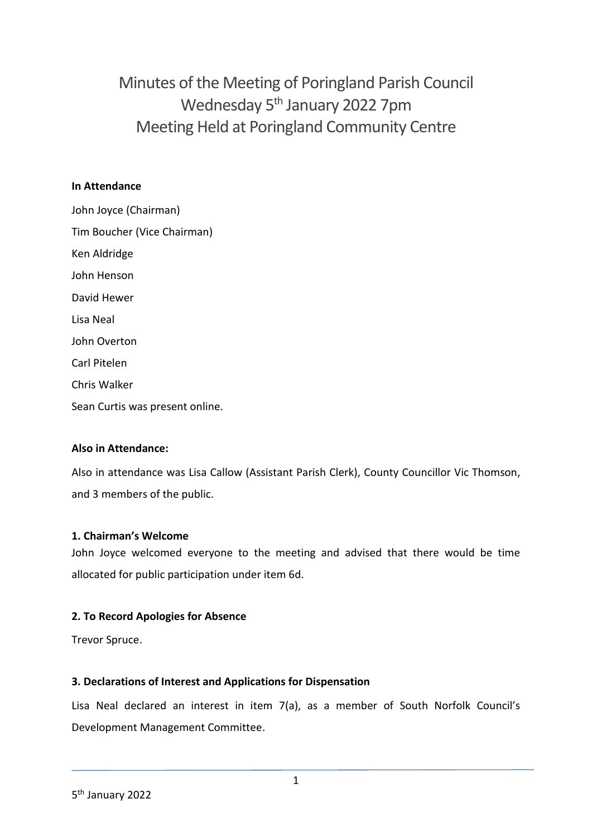Minutes of the Meeting of Poringland Parish Council Wednesday 5<sup>th</sup> January 2022 7pm Meeting Held at Poringland Community Centre

#### **In Attendance**

John Joyce (Chairman) Tim Boucher (Vice Chairman) Ken Aldridge John Henson David Hewer Lisa Neal John Overton Carl Pitelen Chris Walker Sean Curtis was present online.

## **Also in Attendance:**

Also in attendance was Lisa Callow (Assistant Parish Clerk), County Councillor Vic Thomson, and 3 members of the public.

#### **1. Chairman's Welcome**

John Joyce welcomed everyone to the meeting and advised that there would be time allocated for public participation under item 6d.

## **2. To Record Apologies for Absence**

Trevor Spruce.

## **3. Declarations of Interest and Applications for Dispensation**

Lisa Neal declared an interest in item 7(a), as a member of South Norfolk Council's Development Management Committee.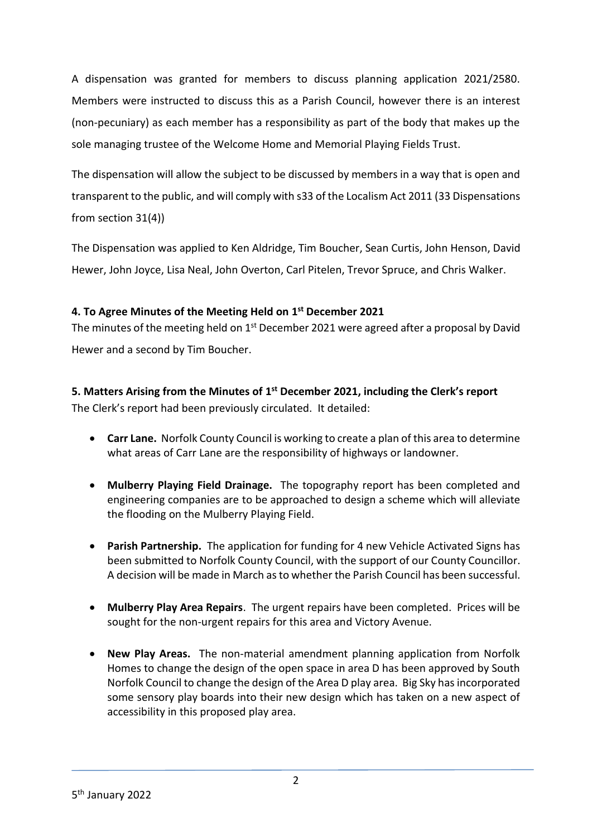A dispensation was granted for members to discuss planning application 2021/2580. Members were instructed to discuss this as a Parish Council, however there is an interest (non-pecuniary) as each member has a responsibility as part of the body that makes up the sole managing trustee of the Welcome Home and Memorial Playing Fields Trust.

The dispensation will allow the subject to be discussed by members in a way that is open and transparent to the public, and will comply with s33 of the Localism Act 2011 (33 Dispensations from section 31(4))

The Dispensation was applied to Ken Aldridge, Tim Boucher, Sean Curtis, John Henson, David Hewer, John Joyce, Lisa Neal, John Overton, Carl Pitelen, Trevor Spruce, and Chris Walker.

# **4. To Agree Minutes of the Meeting Held on 1 st December 2021**

The minutes of the meeting held on 1<sup>st</sup> December 2021 were agreed after a proposal by David Hewer and a second by Tim Boucher.

**5. Matters Arising from the Minutes of 1 st December 2021, including the Clerk's report** The Clerk's report had been previously circulated. It detailed:

- **Carr Lane.** Norfolk County Council is working to create a plan of this area to determine what areas of Carr Lane are the responsibility of highways or landowner.
- **Mulberry Playing Field Drainage.** The topography report has been completed and engineering companies are to be approached to design a scheme which will alleviate the flooding on the Mulberry Playing Field.
- **Parish Partnership.** The application for funding for 4 new Vehicle Activated Signs has been submitted to Norfolk County Council, with the support of our County Councillor. A decision will be made in March as to whether the Parish Council has been successful.
- **Mulberry Play Area Repairs**. The urgent repairs have been completed. Prices will be sought for the non-urgent repairs for this area and Victory Avenue.
- **New Play Areas.** The non-material amendment planning application from Norfolk Homes to change the design of the open space in area D has been approved by South Norfolk Council to change the design of the Area D play area. Big Sky has incorporated some sensory play boards into their new design which has taken on a new aspect of accessibility in this proposed play area.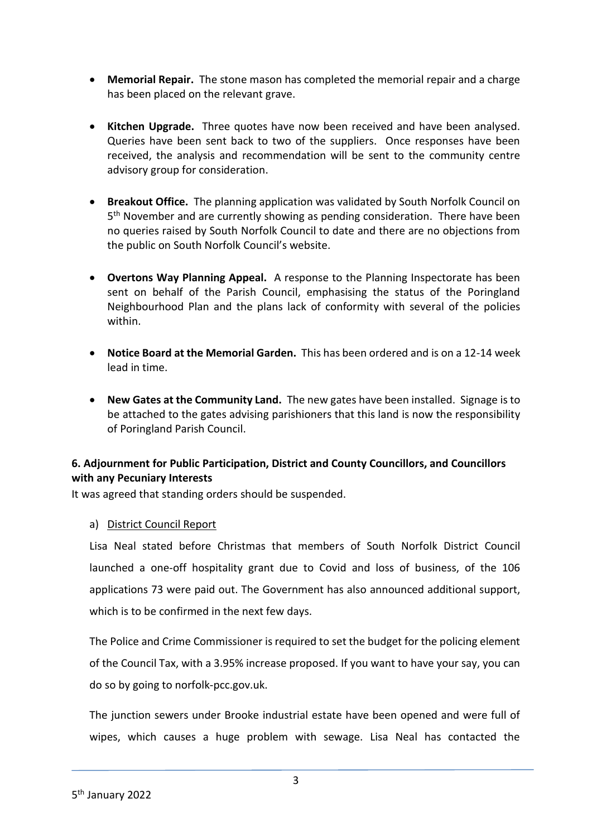- **Memorial Repair.** The stone mason has completed the memorial repair and a charge has been placed on the relevant grave.
- **Kitchen Upgrade.** Three quotes have now been received and have been analysed. Queries have been sent back to two of the suppliers. Once responses have been received, the analysis and recommendation will be sent to the community centre advisory group for consideration.
- **Breakout Office.** The planning application was validated by South Norfolk Council on 5<sup>th</sup> November and are currently showing as pending consideration. There have been no queries raised by South Norfolk Council to date and there are no objections from the public on South Norfolk Council's website.
- **Overtons Way Planning Appeal.** A response to the Planning Inspectorate has been sent on behalf of the Parish Council, emphasising the status of the Poringland Neighbourhood Plan and the plans lack of conformity with several of the policies within.
- **Notice Board at the Memorial Garden.** This has been ordered and is on a 12-14 week lead in time.
- **New Gates at the Community Land.** The new gates have been installed. Signage is to be attached to the gates advising parishioners that this land is now the responsibility of Poringland Parish Council.

# **6. Adjournment for Public Participation, District and County Councillors, and Councillors with any Pecuniary Interests**

It was agreed that standing orders should be suspended.

## a) District Council Report

Lisa Neal stated before Christmas that members of South Norfolk District Council launched a one-off hospitality grant due to Covid and loss of business, of the 106 applications 73 were paid out. The Government has also announced additional support, which is to be confirmed in the next few days.

The Police and Crime Commissioner is required to set the budget for the policing element of the Council Tax, with a 3.95% increase proposed. If you want to have your say, you can do so by going to norfolk-pcc.gov.uk.

The junction sewers under Brooke industrial estate have been opened and were full of wipes, which causes a huge problem with sewage. Lisa Neal has contacted the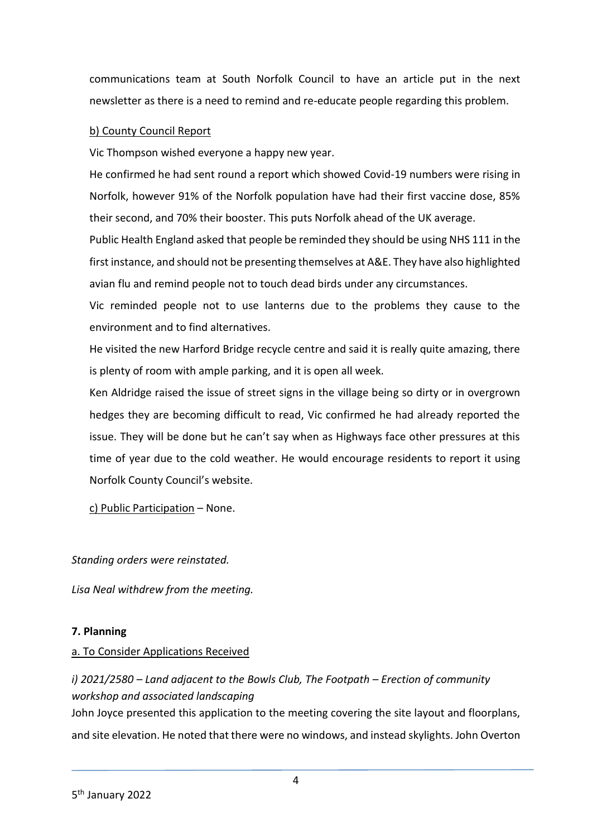communications team at South Norfolk Council to have an article put in the next newsletter as there is a need to remind and re-educate people regarding this problem.

#### b) County Council Report

Vic Thompson wished everyone a happy new year.

He confirmed he had sent round a report which showed Covid-19 numbers were rising in Norfolk, however 91% of the Norfolk population have had their first vaccine dose, 85% their second, and 70% their booster. This puts Norfolk ahead of the UK average.

Public Health England asked that people be reminded they should be using NHS 111 in the first instance, and should not be presenting themselves at A&E. They have also highlighted avian flu and remind people not to touch dead birds under any circumstances.

Vic reminded people not to use lanterns due to the problems they cause to the environment and to find alternatives.

He visited the new Harford Bridge recycle centre and said it is really quite amazing, there is plenty of room with ample parking, and it is open all week.

Ken Aldridge raised the issue of street signs in the village being so dirty or in overgrown hedges they are becoming difficult to read, Vic confirmed he had already reported the issue. They will be done but he can't say when as Highways face other pressures at this time of year due to the cold weather. He would encourage residents to report it using Norfolk County Council's website.

c) Public Participation – None.

*Standing orders were reinstated.* 

*Lisa Neal withdrew from the meeting.* 

## **7. Planning**

## a. To Consider Applications Received

*i) 2021/2580 – Land adjacent to the Bowls Club, The Footpath – Erection of community workshop and associated landscaping* John Joyce presented this application to the meeting covering the site layout and floorplans, and site elevation. He noted that there were no windows, and instead skylights. John Overton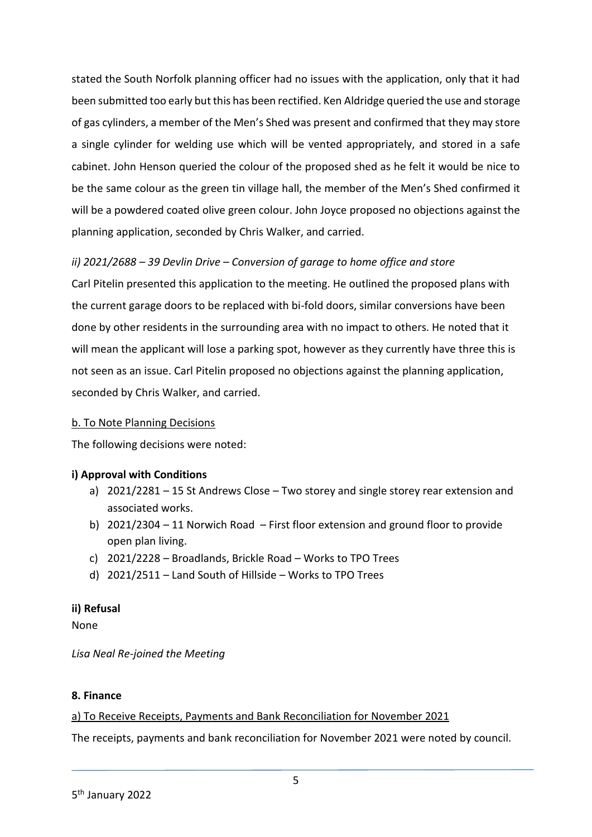stated the South Norfolk planning officer had no issues with the application, only that it had been submitted too early but this has been rectified. Ken Aldridge queried the use and storage of gas cylinders, a member of the Men's Shed was present and confirmed that they may store a single cylinder for welding use which will be vented appropriately, and stored in a safe cabinet. John Henson queried the colour of the proposed shed as he felt it would be nice to be the same colour as the green tin village hall, the member of the Men's Shed confirmed it will be a powdered coated olive green colour. John Joyce proposed no objections against the planning application, seconded by Chris Walker, and carried.

# *ii) 2021/2688 – 39 Devlin Drive – Conversion of garage to home office and store*

Carl Pitelin presented this application to the meeting. He outlined the proposed plans with the current garage doors to be replaced with bi-fold doors, similar conversions have been done by other residents in the surrounding area with no impact to others. He noted that it will mean the applicant will lose a parking spot, however as they currently have three this is not seen as an issue. Carl Pitelin proposed no objections against the planning application, seconded by Chris Walker, and carried.

#### b. To Note Planning Decisions

The following decisions were noted:

## **i) Approval with Conditions**

- a) 2021/2281 15 St Andrews Close Two storey and single storey rear extension and associated works.
- b) 2021/2304 11 Norwich Road First floor extension and ground floor to provide open plan living.
- c) 2021/2228 Broadlands, Brickle Road Works to TPO Trees
- d) 2021/2511 Land South of Hillside Works to TPO Trees

## **ii) Refusal**

None

*Lisa Neal Re-joined the Meeting*

## **8. Finance**

## a) To Receive Receipts, Payments and Bank Reconciliation for November 2021

The receipts, payments and bank reconciliation for November 2021 were noted by council.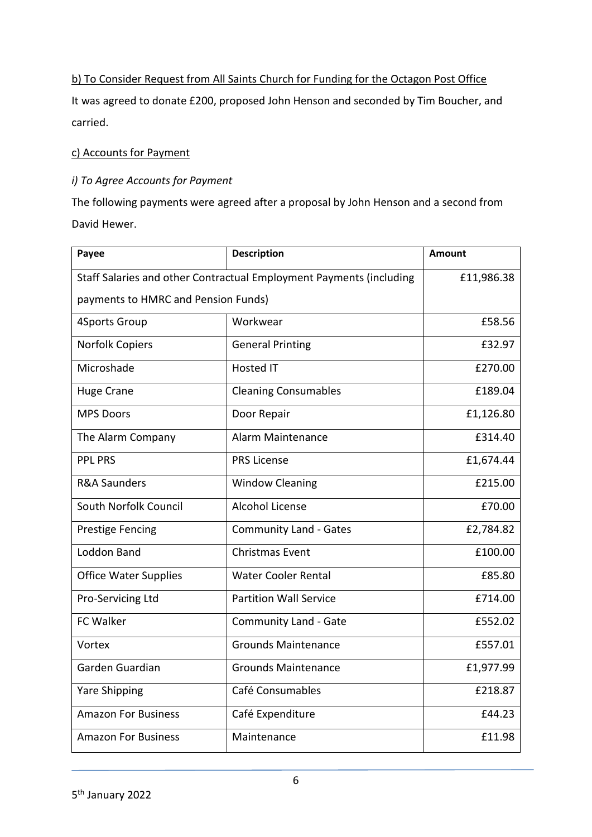# b) To Consider Request from All Saints Church for Funding for the Octagon Post Office

It was agreed to donate £200, proposed John Henson and seconded by Tim Boucher, and carried.

#### c) Accounts for Payment

#### *i) To Agree Accounts for Payment*

The following payments were agreed after a proposal by John Henson and a second from David Hewer.

| Payee                                                               | <b>Description</b>            | <b>Amount</b> |
|---------------------------------------------------------------------|-------------------------------|---------------|
| Staff Salaries and other Contractual Employment Payments (including |                               | £11,986.38    |
| payments to HMRC and Pension Funds)                                 |                               |               |
| 4Sports Group                                                       | Workwear                      | £58.56        |
| <b>Norfolk Copiers</b>                                              | <b>General Printing</b>       | £32.97        |
| Microshade                                                          | <b>Hosted IT</b>              | £270.00       |
| <b>Huge Crane</b>                                                   | <b>Cleaning Consumables</b>   | £189.04       |
| <b>MPS Doors</b>                                                    | Door Repair                   | £1,126.80     |
| The Alarm Company                                                   | Alarm Maintenance             | £314.40       |
| <b>PPL PRS</b>                                                      | <b>PRS License</b>            | £1,674.44     |
| <b>R&amp;A Saunders</b>                                             | <b>Window Cleaning</b>        | £215.00       |
| South Norfolk Council                                               | <b>Alcohol License</b>        | £70.00        |
| <b>Prestige Fencing</b>                                             | <b>Community Land - Gates</b> | £2,784.82     |
| <b>Loddon Band</b>                                                  | <b>Christmas Event</b>        | £100.00       |
| <b>Office Water Supplies</b>                                        | <b>Water Cooler Rental</b>    | £85.80        |
| Pro-Servicing Ltd                                                   | <b>Partition Wall Service</b> | £714.00       |
| <b>FC Walker</b>                                                    | <b>Community Land - Gate</b>  | £552.02       |
| Vortex                                                              | <b>Grounds Maintenance</b>    | £557.01       |
| Garden Guardian                                                     | <b>Grounds Maintenance</b>    | £1,977.99     |
| <b>Yare Shipping</b>                                                | Café Consumables              | £218.87       |
| <b>Amazon For Business</b>                                          | Café Expenditure              | £44.23        |
| <b>Amazon For Business</b>                                          | Maintenance                   | £11.98        |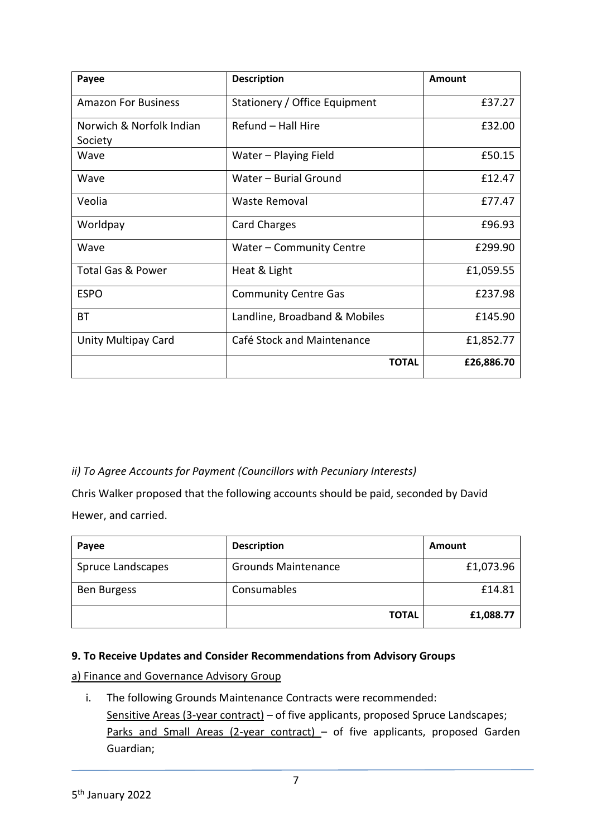| Payee                               | <b>Description</b>            | Amount     |
|-------------------------------------|-------------------------------|------------|
| <b>Amazon For Business</b>          | Stationery / Office Equipment | £37.27     |
| Norwich & Norfolk Indian<br>Society | Refund - Hall Hire            | £32.00     |
| Wave                                | Water - Playing Field         | £50.15     |
| Wave                                | Water - Burial Ground         | £12.47     |
| Veolia                              | Waste Removal                 | £77.47     |
| Worldpay                            | <b>Card Charges</b>           | £96.93     |
| Wave                                | Water - Community Centre      | £299.90    |
| <b>Total Gas &amp; Power</b>        | Heat & Light                  | £1,059.55  |
| <b>ESPO</b>                         | <b>Community Centre Gas</b>   | £237.98    |
| BT                                  | Landline, Broadband & Mobiles | £145.90    |
| Unity Multipay Card                 | Café Stock and Maintenance    | £1,852.77  |
|                                     | <b>TOTAL</b>                  | £26,886.70 |

# *ii) To Agree Accounts for Payment (Councillors with Pecuniary Interests)*

Chris Walker proposed that the following accounts should be paid, seconded by David Hewer, and carried.

| Payee              | <b>Description</b>         | Amount    |
|--------------------|----------------------------|-----------|
| Spruce Landscapes  | <b>Grounds Maintenance</b> | £1,073.96 |
| <b>Ben Burgess</b> | Consumables                | £14.81    |
|                    | <b>TOTAL</b>               | £1,088.77 |

## **9. To Receive Updates and Consider Recommendations from Advisory Groups**

#### a) Finance and Governance Advisory Group

i. The following Grounds Maintenance Contracts were recommended: Sensitive Areas (3-year contract) – of five applicants, proposed Spruce Landscapes; Parks and Small Areas (2-year contract) - of five applicants, proposed Garden Guardian;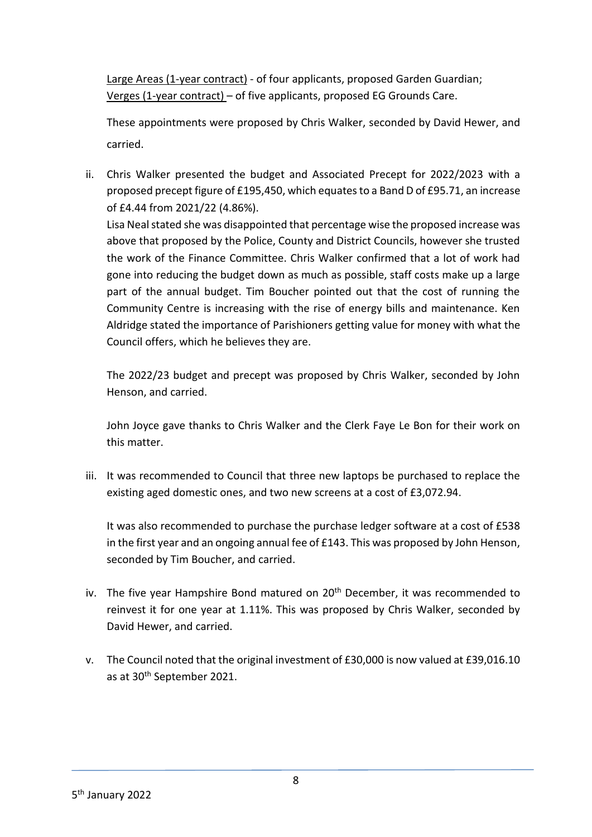Large Areas (1-year contract) - of four applicants, proposed Garden Guardian; Verges (1-year contract) – of five applicants, proposed EG Grounds Care.

These appointments were proposed by Chris Walker, seconded by David Hewer, and carried.

ii. Chris Walker presented the budget and Associated Precept for 2022/2023 with a proposed precept figure of £195,450, which equates to a Band D of £95.71, an increase of £4.44 from 2021/22 (4.86%).

Lisa Neal stated she was disappointed that percentage wise the proposed increase was above that proposed by the Police, County and District Councils, however she trusted the work of the Finance Committee. Chris Walker confirmed that a lot of work had gone into reducing the budget down as much as possible, staff costs make up a large part of the annual budget. Tim Boucher pointed out that the cost of running the Community Centre is increasing with the rise of energy bills and maintenance. Ken Aldridge stated the importance of Parishioners getting value for money with what the Council offers, which he believes they are.

The 2022/23 budget and precept was proposed by Chris Walker, seconded by John Henson, and carried.

John Joyce gave thanks to Chris Walker and the Clerk Faye Le Bon for their work on this matter.

iii. It was recommended to Council that three new laptops be purchased to replace the existing aged domestic ones, and two new screens at a cost of £3,072.94.

It was also recommended to purchase the purchase ledger software at a cost of £538 in the first year and an ongoing annual fee of £143. This was proposed by John Henson, seconded by Tim Boucher, and carried.

- iv. The five year Hampshire Bond matured on  $20<sup>th</sup>$  December, it was recommended to reinvest it for one year at 1.11%. This was proposed by Chris Walker, seconded by David Hewer, and carried.
- v. The Council noted that the original investment of £30,000 is now valued at £39,016.10 as at 30th September 2021.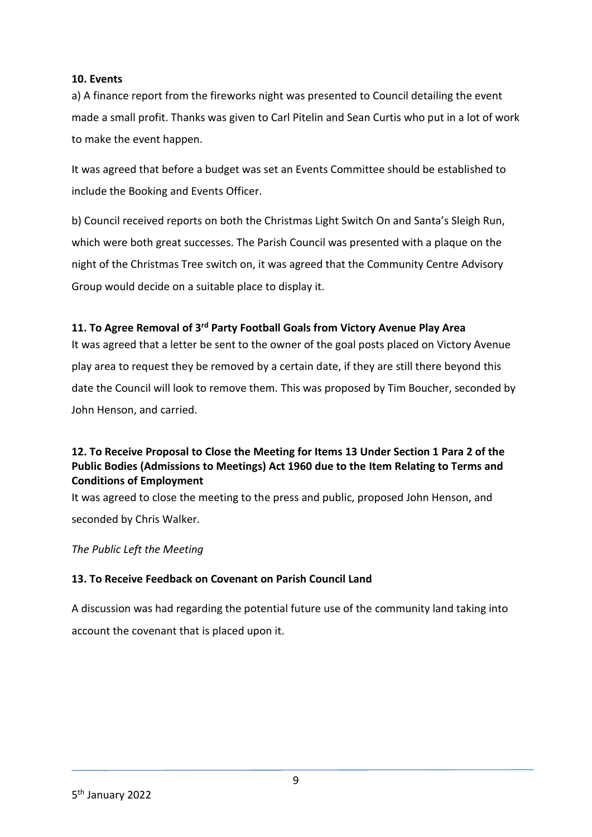## **10. Events**

a) A finance report from the fireworks night was presented to Council detailing the event made a small profit. Thanks was given to Carl Pitelin and Sean Curtis who put in a lot of work to make the event happen.

It was agreed that before a budget was set an Events Committee should be established to include the Booking and Events Officer.

b) Council received reports on both the Christmas Light Switch On and Santa's Sleigh Run, which were both great successes. The Parish Council was presented with a plaque on the night of the Christmas Tree switch on, it was agreed that the Community Centre Advisory Group would decide on a suitable place to display it.

## **11. To Agree Removal of 3rd Party Football Goals from Victory Avenue Play Area**

It was agreed that a letter be sent to the owner of the goal posts placed on Victory Avenue play area to request they be removed by a certain date, if they are still there beyond this date the Council will look to remove them. This was proposed by Tim Boucher, seconded by John Henson, and carried.

# **12. To Receive Proposal to Close the Meeting for Items 13 Under Section 1 Para 2 of the Public Bodies (Admissions to Meetings) Act 1960 due to the Item Relating to Terms and Conditions of Employment**

It was agreed to close the meeting to the press and public, proposed John Henson, and seconded by Chris Walker.

*The Public Left the Meeting*

## **13. To Receive Feedback on Covenant on Parish Council Land**

A discussion was had regarding the potential future use of the community land taking into account the covenant that is placed upon it.